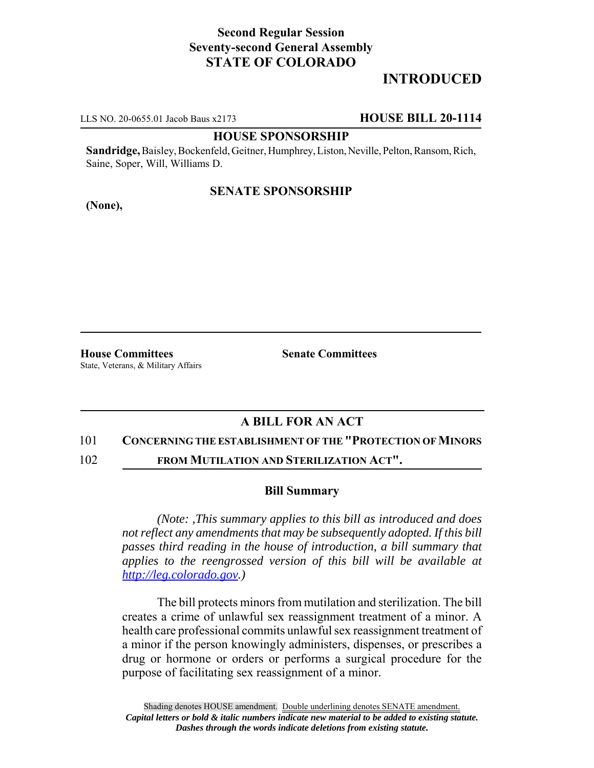## **Second Regular Session Seventy-second General Assembly STATE OF COLORADO**

# **INTRODUCED**

LLS NO. 20-0655.01 Jacob Baus x2173 **HOUSE BILL 20-1114**

### **HOUSE SPONSORSHIP**

**Sandridge,** Baisley, Bockenfeld, Geitner, Humphrey, Liston, Neville, Pelton, Ransom, Rich, Saine, Soper, Will, Williams D.

## **SENATE SPONSORSHIP**

**(None),**

**House Committees Senate Committees** State, Veterans, & Military Affairs

## **A BILL FOR AN ACT**

#### 101 **CONCERNING THE ESTABLISHMENT OF THE "PROTECTION OF MINORS**

102 **FROM MUTILATION AND STERILIZATION ACT".**

#### **Bill Summary**

*(Note: ,This summary applies to this bill as introduced and does not reflect any amendments that may be subsequently adopted. If this bill passes third reading in the house of introduction, a bill summary that applies to the reengrossed version of this bill will be available at http://leg.colorado.gov.)*

The bill protects minors from mutilation and sterilization. The bill creates a crime of unlawful sex reassignment treatment of a minor. A health care professional commits unlawful sex reassignment treatment of a minor if the person knowingly administers, dispenses, or prescribes a drug or hormone or orders or performs a surgical procedure for the purpose of facilitating sex reassignment of a minor.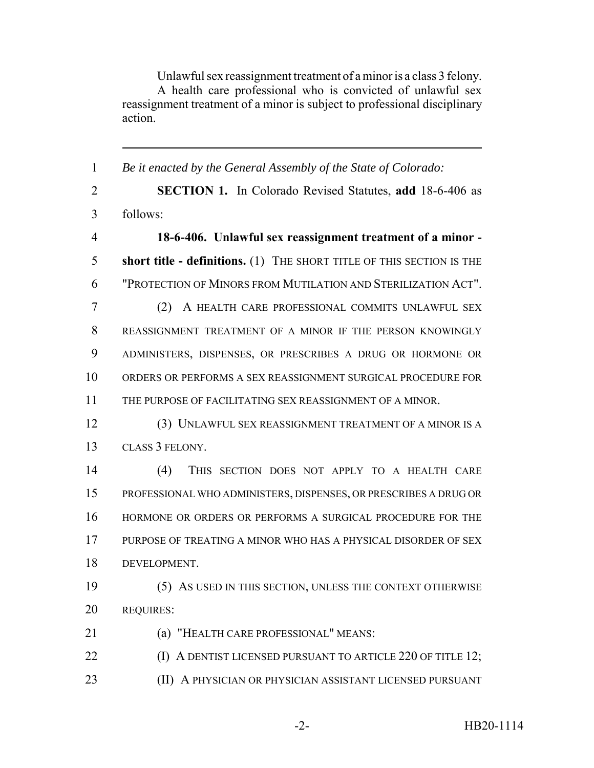Unlawful sex reassignment treatment of a minor is a class 3 felony. A health care professional who is convicted of unlawful sex reassignment treatment of a minor is subject to professional disciplinary action.

 *Be it enacted by the General Assembly of the State of Colorado:* **SECTION 1.** In Colorado Revised Statutes, **add** 18-6-406 as follows: **18-6-406. Unlawful sex reassignment treatment of a minor - short title - definitions.** (1) THE SHORT TITLE OF THIS SECTION IS THE "PROTECTION OF MINORS FROM MUTILATION AND STERILIZATION ACT". (2) A HEALTH CARE PROFESSIONAL COMMITS UNLAWFUL SEX REASSIGNMENT TREATMENT OF A MINOR IF THE PERSON KNOWINGLY ADMINISTERS, DISPENSES, OR PRESCRIBES A DRUG OR HORMONE OR ORDERS OR PERFORMS A SEX REASSIGNMENT SURGICAL PROCEDURE FOR THE PURPOSE OF FACILITATING SEX REASSIGNMENT OF A MINOR. (3) UNLAWFUL SEX REASSIGNMENT TREATMENT OF A MINOR IS A CLASS 3 FELONY. (4) THIS SECTION DOES NOT APPLY TO A HEALTH CARE PROFESSIONAL WHO ADMINISTERS, DISPENSES, OR PRESCRIBES A DRUG OR HORMONE OR ORDERS OR PERFORMS A SURGICAL PROCEDURE FOR THE PURPOSE OF TREATING A MINOR WHO HAS A PHYSICAL DISORDER OF SEX DEVELOPMENT. (5) AS USED IN THIS SECTION, UNLESS THE CONTEXT OTHERWISE REQUIRES: (a) "HEALTH CARE PROFESSIONAL" MEANS: **(I) A DENTIST LICENSED PURSUANT TO ARTICLE 220 OF TITLE 12;** (II) A PHYSICIAN OR PHYSICIAN ASSISTANT LICENSED PURSUANT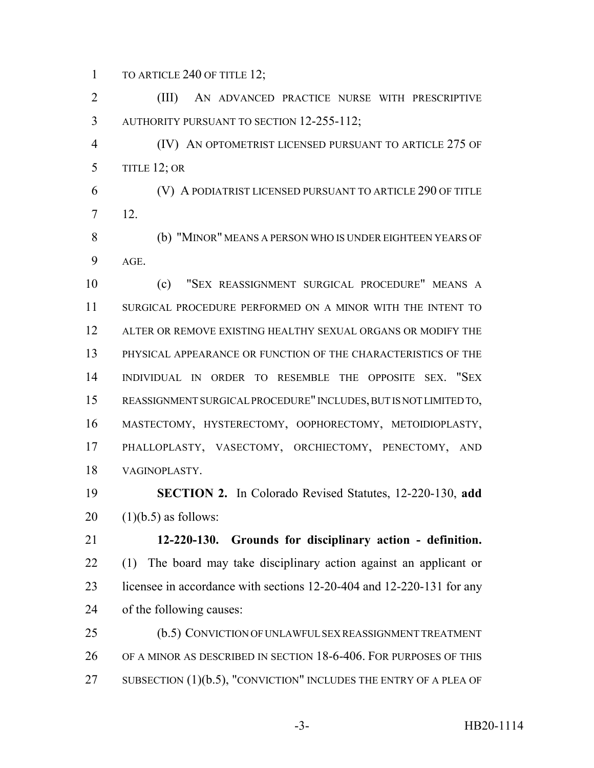1 TO ARTICLE 240 OF TITLE 12;

 (III) AN ADVANCED PRACTICE NURSE WITH PRESCRIPTIVE 3 AUTHORITY PURSUANT TO SECTION 12-255-112;

 (IV) AN OPTOMETRIST LICENSED PURSUANT TO ARTICLE 275 OF 5 TITLE 12; OR

 (V) A PODIATRIST LICENSED PURSUANT TO ARTICLE 290 OF TITLE 12.

 (b) "MINOR" MEANS A PERSON WHO IS UNDER EIGHTEEN YEARS OF AGE.

 (c) "SEX REASSIGNMENT SURGICAL PROCEDURE" MEANS A SURGICAL PROCEDURE PERFORMED ON A MINOR WITH THE INTENT TO ALTER OR REMOVE EXISTING HEALTHY SEXUAL ORGANS OR MODIFY THE PHYSICAL APPEARANCE OR FUNCTION OF THE CHARACTERISTICS OF THE INDIVIDUAL IN ORDER TO RESEMBLE THE OPPOSITE SEX. "SEX REASSIGNMENT SURGICAL PROCEDURE" INCLUDES, BUT IS NOT LIMITED TO, MASTECTOMY, HYSTERECTOMY, OOPHORECTOMY, METOIDIOPLASTY, PHALLOPLASTY, VASECTOMY, ORCHIECTOMY, PENECTOMY, AND VAGINOPLASTY.

 **SECTION 2.** In Colorado Revised Statutes, 12-220-130, **add** (1)(b.5) as follows:

 **12-220-130. Grounds for disciplinary action - definition.** (1) The board may take disciplinary action against an applicant or licensee in accordance with sections 12-20-404 and 12-220-131 for any of the following causes:

 (b.5) CONVICTION OF UNLAWFUL SEX REASSIGNMENT TREATMENT OF A MINOR AS DESCRIBED IN SECTION 18-6-406. FOR PURPOSES OF THIS 27 SUBSECTION (1)(b.5), "CONVICTION" INCLUDES THE ENTRY OF A PLEA OF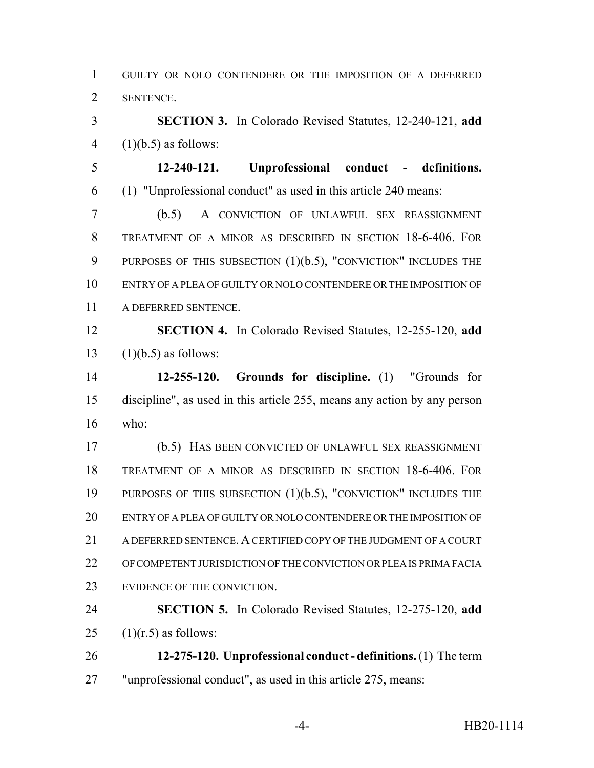GUILTY OR NOLO CONTENDERE OR THE IMPOSITION OF A DEFERRED SENTENCE.

 **SECTION 3.** In Colorado Revised Statutes, 12-240-121, **add** 4  $(1)(b.5)$  as follows:

 **12-240-121. Unprofessional conduct - definitions.** (1) "Unprofessional conduct" as used in this article 240 means:

 (b.5) A CONVICTION OF UNLAWFUL SEX REASSIGNMENT TREATMENT OF A MINOR AS DESCRIBED IN SECTION 18-6-406. FOR 9 PURPOSES OF THIS SUBSECTION (1)(b.5), "CONVICTION" INCLUDES THE ENTRY OF A PLEA OF GUILTY OR NOLO CONTENDERE OR THE IMPOSITION OF A DEFERRED SENTENCE.

 **SECTION 4.** In Colorado Revised Statutes, 12-255-120, **add** 13  $(1)(b.5)$  as follows:

 **12-255-120. Grounds for discipline.** (1) "Grounds for discipline", as used in this article 255, means any action by any person who:

 (b.5) HAS BEEN CONVICTED OF UNLAWFUL SEX REASSIGNMENT TREATMENT OF A MINOR AS DESCRIBED IN SECTION 18-6-406. FOR PURPOSES OF THIS SUBSECTION (1)(b.5), "CONVICTION" INCLUDES THE ENTRY OF A PLEA OF GUILTY OR NOLO CONTENDERE OR THE IMPOSITION OF A DEFERRED SENTENCE. A CERTIFIED COPY OF THE JUDGMENT OF A COURT OF COMPETENT JURISDICTION OF THE CONVICTION OR PLEA IS PRIMA FACIA EVIDENCE OF THE CONVICTION.

 **SECTION 5.** In Colorado Revised Statutes, 12-275-120, **add** 25  $(1)(r.5)$  as follows:

 **12-275-120. Unprofessional conduct - definitions.** (1) The term "unprofessional conduct", as used in this article 275, means: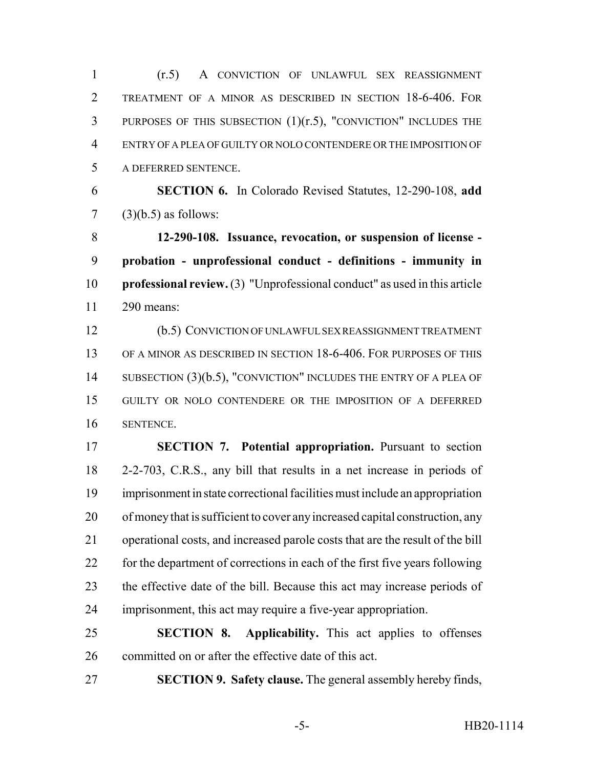(r.5) A CONVICTION OF UNLAWFUL SEX REASSIGNMENT TREATMENT OF A MINOR AS DESCRIBED IN SECTION 18-6-406. FOR PURPOSES OF THIS SUBSECTION (1)(r.5), "CONVICTION" INCLUDES THE ENTRY OF A PLEA OF GUILTY OR NOLO CONTENDERE OR THE IMPOSITION OF A DEFERRED SENTENCE.

 **SECTION 6.** In Colorado Revised Statutes, 12-290-108, **add** (3)(b.5) as follows:

 **12-290-108. Issuance, revocation, or suspension of license - probation - unprofessional conduct - definitions - immunity in professional review.** (3) "Unprofessional conduct" as used in this article 290 means:

 (b.5) CONVICTION OF UNLAWFUL SEX REASSIGNMENT TREATMENT OF A MINOR AS DESCRIBED IN SECTION 18-6-406. FOR PURPOSES OF THIS 14 SUBSECTION (3)(b.5), "CONVICTION" INCLUDES THE ENTRY OF A PLEA OF GUILTY OR NOLO CONTENDERE OR THE IMPOSITION OF A DEFERRED SENTENCE.

 **SECTION 7. Potential appropriation.** Pursuant to section 2-2-703, C.R.S., any bill that results in a net increase in periods of imprisonment in state correctional facilities must include an appropriation of money that is sufficient to cover any increased capital construction, any operational costs, and increased parole costs that are the result of the bill for the department of corrections in each of the first five years following the effective date of the bill. Because this act may increase periods of imprisonment, this act may require a five-year appropriation.

 **SECTION 8. Applicability.** This act applies to offenses committed on or after the effective date of this act.

**SECTION 9. Safety clause.** The general assembly hereby finds,